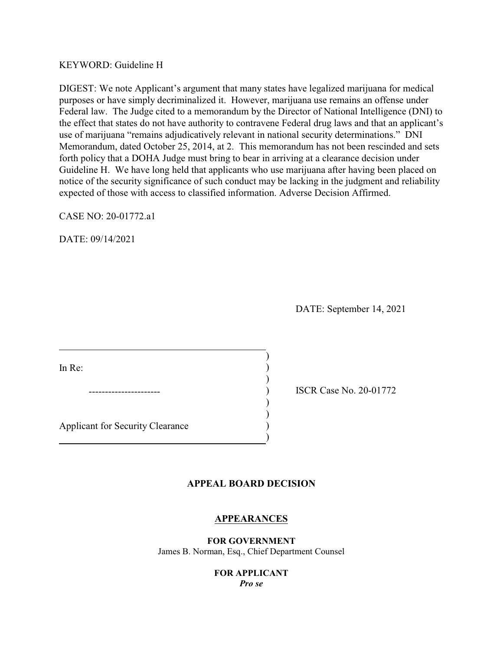### KEYWORD: Guideline H

DIGEST: We note Applicant's argument that many states have legalized marijuana for medical purposes or have simply decriminalized it. However, marijuana use remains an offense under Federal law. The Judge cited to a memorandum by the Director of National Intelligence (DNI) to the effect that states do not have authority to contravene Federal drug laws and that an applicant's use of marijuana "remains adjudicatively relevant in national security determinations." DNI Memorandum, dated October 25, 2014, at 2. This memorandum has not been rescinded and sets forth policy that a DOHA Judge must bring to bear in arriving at a clearance decision under Guideline H. We have long held that applicants who use marijuana after having been placed on notice of the security significance of such conduct may be lacking in the judgment and reliability expected of those with access to classified information. Adverse Decision Affirmed.

CASE NO: 20-01772.a1

DATE: 09/14/2021

DATE: September 14, 2021

In Re: (a) and  $\overline{a}$  (b) and  $\overline{b}$  (c) and  $\overline{b}$  (c) and  $\overline{b}$  (c) and  $\overline{b}$  (c) and  $\overline{b}$  (c) and  $\overline{b}$  (c) and  $\overline{b}$  (c) and  $\overline{b}$  (c) and  $\overline{b}$  (c) and  $\overline{b}$  (c) and  $\overline{b}$  (c) and  $\over$ 

Applicant for Security Clearance )

---------------------- ) ISCR Case No. 20-01772

## **APPEAL BOARD DECISION**

)

)<br>)

) )

)

#### **APPEARANCES**

**FOR GOVERNMENT**  James B. Norman, Esq., Chief Department Counsel

### **FOR APPLICANT**  *Pro se*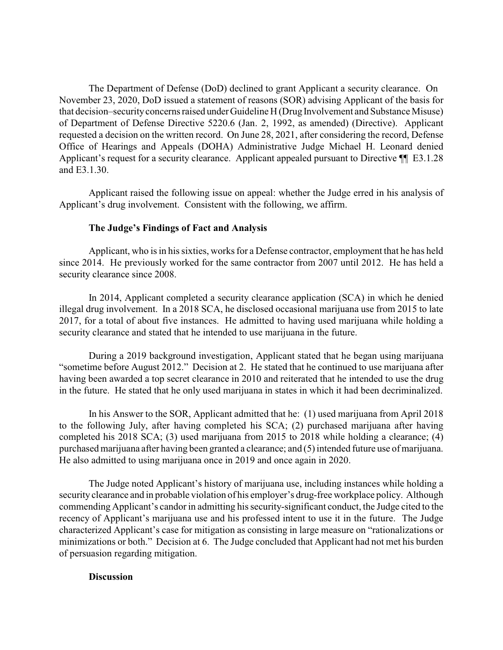The Department of Defense (DoD) declined to grant Applicant a security clearance. On of Department of Defense Directive 5220.6 (Jan. 2, 1992, as amended) (Directive). Applicant requested a decision on the written record. On June 28, 2021, after considering the record, Defense Applicant's request for a security clearance. Applicant appealed pursuant to Directive ¶¶ E3.1.28 November 23, 2020, DoD issued a statement of reasons (SOR) advising Applicant of the basis for that decision–security concerns raised under Guideline H (Drug Involvement and Substance Misuse) Office of Hearings and Appeals (DOHA) Administrative Judge Michael H. Leonard denied and E3.1.30.

Applicant raised the following issue on appeal: whether the Judge erred in his analysis of Applicant's drug involvement. Consistent with the following, we affirm.

#### **The Judge's Findings of Fact and Analysis**

 Applicant, who is in his sixties, works for a Defense contractor, employment that he has held since 2014. He previously worked for the same contractor from 2007 until 2012. He has held a security clearance since 2008.

 illegal drug involvement. In a 2018 SCA, he disclosed occasional marijuana use from 2015 to late 2017, for a total of about five instances. He admitted to having used marijuana while holding a In 2014, Applicant completed a security clearance application (SCA) in which he denied security clearance and stated that he intended to use marijuana in the future.

 "sometime before August 2012." Decision at 2. He stated that he continued to use marijuana after During a 2019 background investigation, Applicant stated that he began using marijuana having been awarded a top secret clearance in 2010 and reiterated that he intended to use the drug in the future. He stated that he only used marijuana in states in which it had been decriminalized.

 In his Answer to the SOR, Applicant admitted that he: (1) used marijuana from April 2018 to the following July, after having completed his SCA; (2) purchased marijuana after having purchased marijuana after having been granted a clearance; and (5) intended future use of marijuana. completed his 2018 SCA; (3) used marijuana from 2015 to 2018 while holding a clearance; (4) He also admitted to using marijuana once in 2019 and once again in 2020.

 security clearance and in probable violation of his employer's drug-free workplace policy. Although commending Applicant's candor in admitting his security-significant conduct, the Judge cited to the recency of Applicant's marijuana use and his professed intent to use it in the future. The Judge characterized Applicant's case for mitigation as consisting in large measure on "rationalizations or minimizations or both." Decision at 6. The Judge concluded that Applicant had not met his burden The Judge noted Applicant's history of marijuana use, including instances while holding a of persuasion regarding mitigation.

#### **Discussion**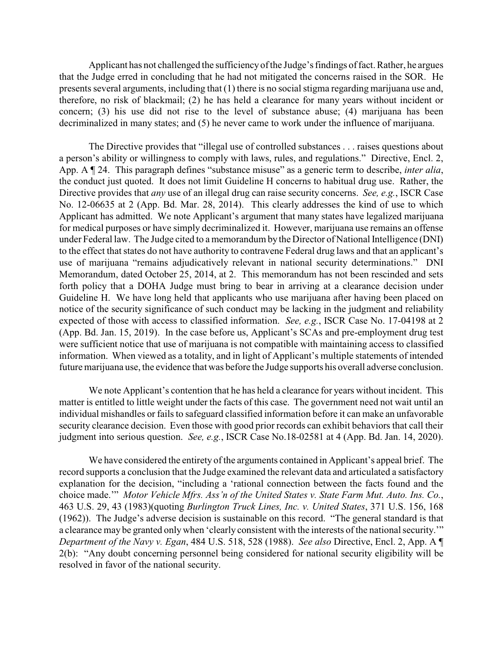Applicant has not challenged the sufficiency of the Judge's findings of fact. Rather, he argues presents several arguments, including that (1) there is no social stigma regarding marijuana use and, that the Judge erred in concluding that he had not mitigated the concerns raised in the SOR. He therefore, no risk of blackmail; (2) he has held a clearance for many years without incident or concern; (3) his use did not rise to the level of substance abuse; (4) marijuana has been decriminalized in many states; and (5) he never came to work under the influence of marijuana.

 App. A ¶ 24. This paragraph defines "substance misuse" as a generic term to describe, *inter alia*, the conduct just quoted. It does not limit Guideline H concerns to habitual drug use. Rather, the Directive provides that *any* use of an illegal drug can raise security concerns. *See, e.g.*, ISCR Case No. 12-06635 at 2 (App. Bd. Mar. 28, 2014). This clearly addresses the kind of use to which Applicant has admitted. We note Applicant's argument that many states have legalized marijuana for medical purposes or have simply decriminalized it. However, marijuana use remains an offense under Federal law. The Judge cited to a memorandum bythe Director of National Intelligence (DNI) to the effect that states do not have authority to contravene Federal drug laws and that an applicant's forth policy that a DOHA Judge must bring to bear in arriving at a clearance decision under Guideline H. We have long held that applicants who use marijuana after having been placed on notice of the security significance of such conduct may be lacking in the judgment and reliability (App. Bd. Jan. 15, 2019). In the case before us, Applicant's SCAs and pre-employment drug test information. When viewed as a totality, and in light of Applicant's multiple statements of intended future marijuana use, the evidence that was before the Judge supports his overall adverse conclusion. The Directive provides that "illegal use of controlled substances . . . raises questions about a person's ability or willingness to comply with laws, rules, and regulations." Directive, Encl. 2, use of marijuana "remains adjudicatively relevant in national security determinations." DNI Memorandum, dated October 25, 2014, at 2. This memorandum has not been rescinded and sets expected of those with access to classified information. *See, e.g.*, ISCR Case No. 17-04198 at 2 were sufficient notice that use of marijuana is not compatible with maintaining access to classified

 security clearance decision. Even those with good prior records can exhibit behaviors that call their judgment into serious question. *See, e.g.*, ISCR Case No.18-02581 at 4 (App. Bd. Jan. 14, 2020). We note Applicant's contention that he has held a clearance for years without incident. This matter is entitled to little weight under the facts of this case. The government need not wait until an individual mishandles or fails to safeguard classified information before it can make an unfavorable

 We have considered the entirety of the arguments contained in Applicant's appeal brief. The choice made.'" *Motor Vehicle Mfrs. Ass'n of the United States v. State Farm Mut. Auto. Ins. Co.*, a clearance may be granted only when 'clearly consistent with the interests of the national security.'" 2(b): "Any doubt concerning personnel being considered for national security eligibility will be record supports a conclusion that the Judge examined the relevant data and articulated a satisfactory explanation for the decision, "including a 'rational connection between the facts found and the 463 U.S. 29, 43 (1983)(quoting *Burlington Truck Lines, Inc. v. United States*, 371 U.S. 156, 168 (1962)). The Judge's adverse decision is sustainable on this record. "The general standard is that *Department of the Navy v. Egan*, 484 U.S. 518, 528 (1988). *See also* Directive, Encl. 2, App. A ¶ resolved in favor of the national security.